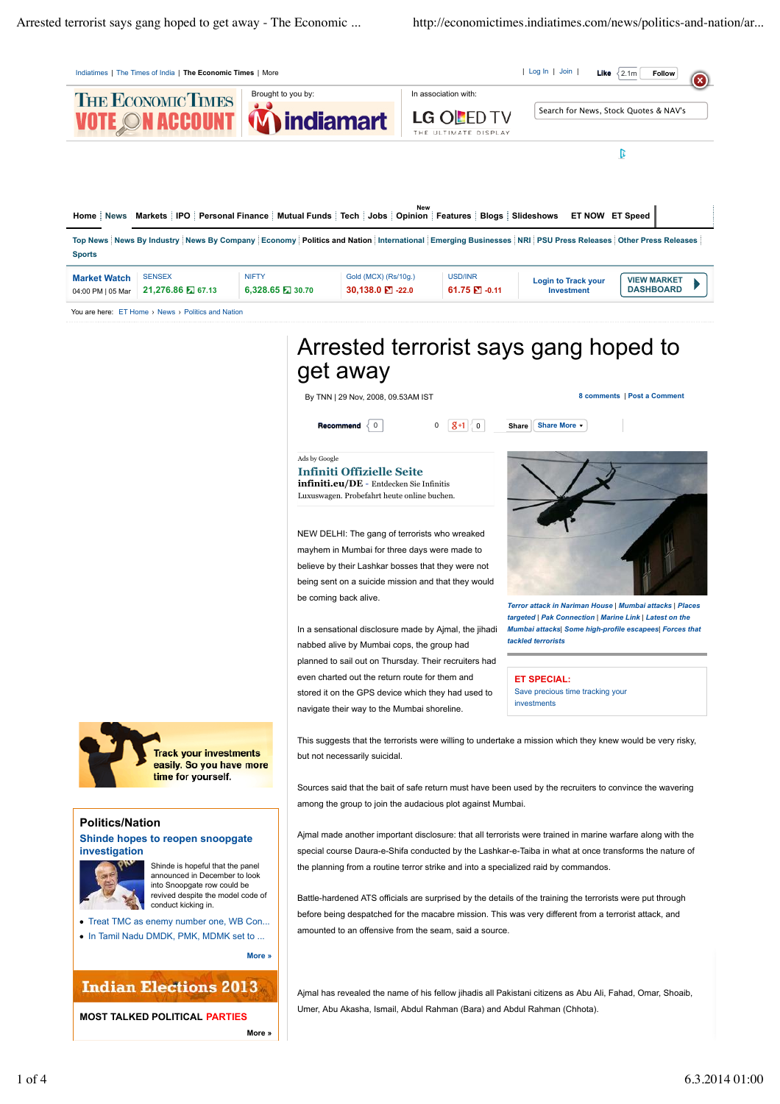

*Mumbai attacks| Some high-profile escapees| Forces that tackled terrorists* In a sensational disclosure made by Ajmal, the jihadi nabbed alive by Mumbai cops, the group had planned to sail out on Thursday. Their recruiters had even charted out the return route for them and stored it on the GPS device which they had used to navigate their way to the Mumbai shoreline.

**ET SPECIAL:** Save precious time tracking your investments

**Track your investments** easily. So you have more time for yourself.

## **Politics/Nation**

## **Shinde hopes to reopen snoopgate investigation**



Shinde is hopeful that the panel announced in December to look into Snoopgate row could be revived despite the model code of conduct kicking in.

Treat TMC as enemy number one, WB Con... In Tamil Nadu DMDK, PMK, MDMK set to ...

**More »**

## **Indian Elections 2013**

**MOST TALKED POLITICAL PARTIES More »** This suggests that the terrorists were willing to undertake a mission which they knew would be very risky, but not necessarily suicidal.

Sources said that the bait of safe return must have been used by the recruiters to convince the wavering among the group to join the audacious plot against Mumbai.

Ajmal made another important disclosure: that all terrorists were trained in marine warfare along with the special course Daura-e-Shifa conducted by the Lashkar-e-Taiba in what at once transforms the nature of the planning from a routine terror strike and into a specialized raid by commandos.

Battle-hardened ATS officials are surprised by the details of the training the terrorists were put through before being despatched for the macabre mission. This was very different from a terrorist attack, and amounted to an offensive from the seam, said a source.

Ajmal has revealed the name of his fellow jihadis all Pakistani citizens as Abu Ali, Fahad, Omar, Shoaib, Umer, Abu Akasha, Ismail, Abdul Rahman (Bara) and Abdul Rahman (Chhota).